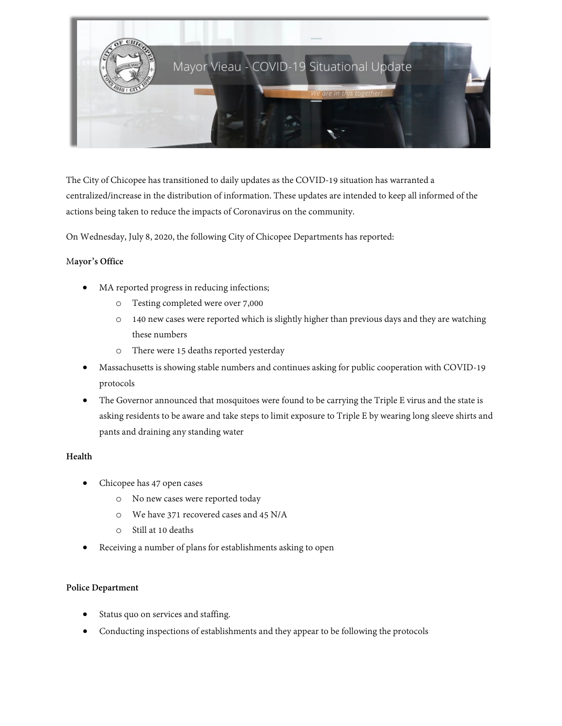

The City of Chicopee has transitioned to daily updates as the COVID-19 situation has warranted a centralized/increase in the distribution of information. These updates are intended to keep all informed of the actions being taken to reduce the impacts of Coronavirus on the community.

On Wednesday, July 8, 2020, the following City of Chicopee Departments has reported:

## M**ayor's Office**

- MA reported progress in reducing infections;
	- o Testing completed were over 7,000
	- $\circ$  140 new cases were reported which is slightly higher than previous days and they are watching these numbers
	- o There were 15 deaths reported yesterday
- Massachusetts is showing stable numbers and continues asking for public cooperation with COVID-19 protocols
- The Governor announced that mosquitoes were found to be carrying the Triple E virus and the state is asking residents to be aware and take steps to limit exposure to Triple E by wearing long sleeve shirts and pants and draining any standing water

## **Health**

- Chicopee has 47 open cases
	- o No new cases were reported today
	- o We have 371 recovered cases and 45 N/A
	- o Still at 10 deaths
- Receiving a number of plans for establishments asking to open

## **Police Department**

- Status quo on services and staffing.
- Conducting inspections of establishments and they appear to be following the protocols